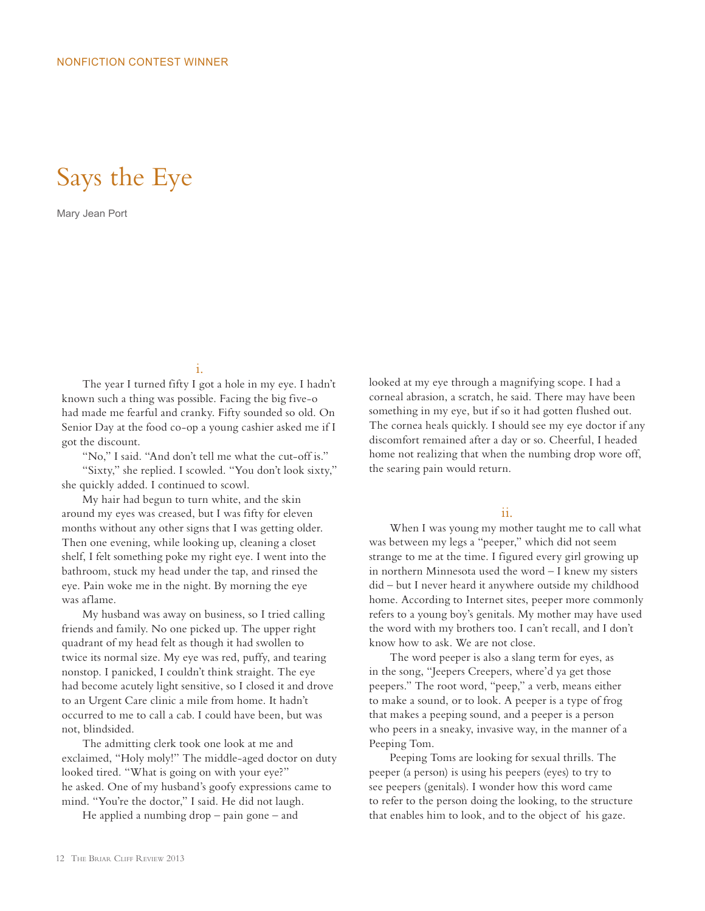# Says the Eye

Mary Jean Port

i.

The year I turned fifty I got a hole in my eye. I hadn't known such a thing was possible. Facing the big five-o had made me fearful and cranky. Fifty sounded so old. On Senior Day at the food co-op a young cashier asked me if I got the discount.

"No," I said. "And don't tell me what the cut-off is." "Sixty," she replied. I scowled. "You don't look sixty," she quickly added. I continued to scowl.

My hair had begun to turn white, and the skin around my eyes was creased, but I was fifty for eleven months without any other signs that I was getting older. Then one evening, while looking up, cleaning a closet shelf, I felt something poke my right eye. I went into the bathroom, stuck my head under the tap, and rinsed the eye. Pain woke me in the night. By morning the eye was aflame.

My husband was away on business, so I tried calling friends and family. No one picked up. The upper right quadrant of my head felt as though it had swollen to twice its normal size. My eye was red, puffy, and tearing nonstop. I panicked, I couldn't think straight. The eye had become acutely light sensitive, so I closed it and drove to an Urgent Care clinic a mile from home. It hadn't occurred to me to call a cab. I could have been, but was not, blindsided.

The admitting clerk took one look at me and exclaimed, "Holy moly!" The middle-aged doctor on duty looked tired. "What is going on with your eye?" he asked. One of my husband's goofy expressions came to mind. "You're the doctor," I said. He did not laugh.

He applied a numbing drop – pain gone – and

looked at my eye through a magnifying scope. I had a corneal abrasion, a scratch, he said. There may have been something in my eye, but if so it had gotten flushed out. The cornea heals quickly. I should see my eye doctor if any discomfort remained after a day or so. Cheerful, I headed home not realizing that when the numbing drop wore off, the searing pain would return.

## ii.

When I was young my mother taught me to call what was between my legs a "peeper," which did not seem strange to me at the time. I figured every girl growing up in northern Minnesota used the word – I knew my sisters did – but I never heard it anywhere outside my childhood home. According to Internet sites, peeper more commonly refers to a young boy's genitals. My mother may have used the word with my brothers too. I can't recall, and I don't know how to ask. We are not close.

The word peeper is also a slang term for eyes, as in the song, "Jeepers Creepers, where'd ya get those peepers." The root word, "peep," a verb, means either to make a sound, or to look. A peeper is a type of frog that makes a peeping sound, and a peeper is a person who peers in a sneaky, invasive way, in the manner of a Peeping Tom.

Peeping Toms are looking for sexual thrills. The peeper (a person) is using his peepers (eyes) to try to see peepers (genitals). I wonder how this word came to refer to the person doing the looking, to the structure that enables him to look, and to the object of his gaze.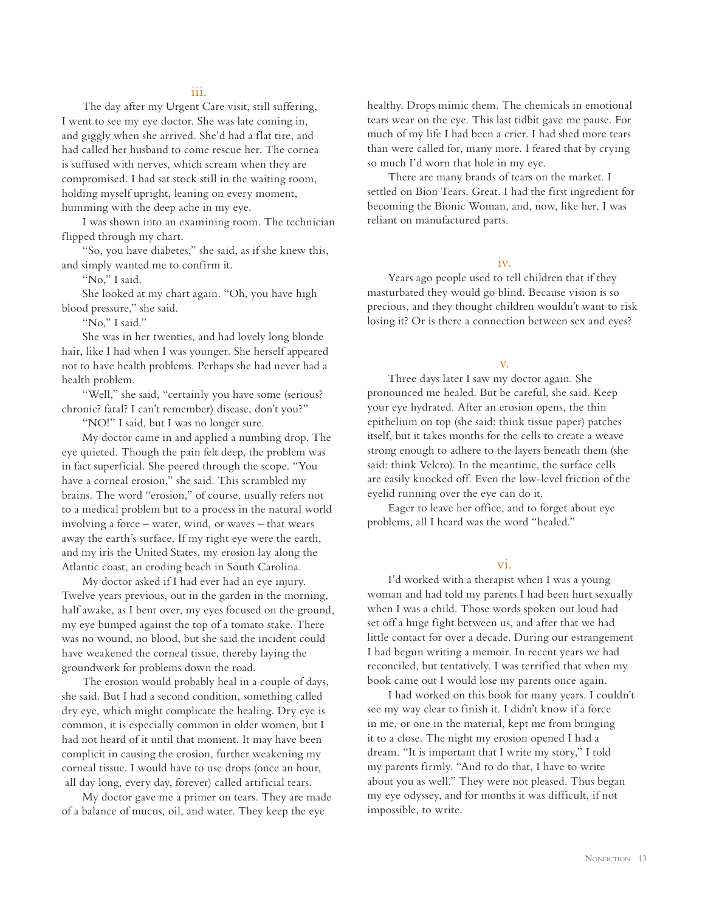#### iii.

The day after my Urgent Care visit, still suffering, I went to see my eye doctor. She was late coming in, and giggly when she arrived. She'd had a flat tire, and had called her husband to come rescue her. The cornea is suffused with nerves, which scream when they are compromised. I had sat stock still in the waiting room, holding myself upright, leaning on every moment, humming with the deep ache in my eye.

I was shown into an examining room. The technician flipped through my chart.

"So, you have diabetes," she said, as if she knew this, and simply wanted me to confirm it.

"No," I said.

She looked at my chart again. "Oh, you have high blood pressure," she said.

"No," I said."

She was in her twenties, and had lovely long blonde hair, like I had when I was younger. She herself appeared not to have health problems. Perhaps she had never had a health problem.

"Well," she said, "certainly you have some (serious? chronic? fatal? I can't remember) disease, don't you?"

"NO!" I said, but I was no longer sure.

My doctor came in and applied a numbing drop. The eye quieted. Though the pain felt deep, the problem was in fact superficial. She peered through the scope. "You have a corneal erosion," she said. This scrambled my brains. The word "erosion," of course, usually refers not to a medical problem but to a process in the natural world involving a force – water, wind, or waves – that wears away the earth's surface. If my right eye were the earth, and my iris the United States, my erosion lay along the Atlantic coast, an eroding beach in South Carolina.

My doctor asked if I had ever had an eye injury. Twelve years previous, out in the garden in the morning, half awake, as I bent over, my eyes focused on the ground, my eye bumped against the top of a tomato stake. There was no wound, no blood, but she said the incident could have weakened the corneal tissue, thereby laying the groundwork for problems down the road.

The erosion would probably heal in a couple of days, she said. But I had a second condition, something called dry eye, which might complicate the healing. Dry eye is common, it is especially common in older women, but I had not heard of it until that moment. It may have been complicit in causing the erosion, further weakening my corneal tissue. I would have to use drops (once an hour, all day long, every day, forever) called artificial tears.

My doctor gave me a primer on tears. They are made of a balance of mucus, oil, and water. They keep the eye

healthy. Drops mimic them. The chemicals in emotional tears wear on the eye. This last tidbit gave me pause. For much of my life I had been a crier. I had shed more tears than were called for, many more. I feared that by crying so much I'd worn that hole in my eye.

There are many brands of tears on the market. I settled on Bion Tears. Great. I had the first ingredient for becoming the Bionic Woman, and, now, like her, I was reliant on manufactured parts.

#### iv.

Years ago people used to tell children that if they masturbated they would go blind. Because vision is so precious, and they thought children wouldn't want to risk losing it? Or is there a connection between sex and eyes?

#### v.

Three days later I saw my doctor again. She pronounced me healed. But be careful, she said. Keep your eye hydrated. After an erosion opens, the thin epithelium on top (she said: think tissue paper) patches itself, but it takes months for the cells to create a weave strong enough to adhere to the layers beneath them (she said: think Velcro). In the meantime, the surface cells are easily knocked off. Even the low-level friction of the eyelid running over the eye can do it.

Eager to leave her office, and to forget about eye problems, all I heard was the word "healed."

# vi.

I'd worked with a therapist when I was a young woman and had told my parents I had been hurt sexually when I was a child. Those words spoken out loud had set off a huge fight between us, and after that we had little contact for over a decade. During our estrangement I had begun writing a memoir. In recent years we had reconciled, but tentatively. I was terrified that when my book came out I would lose my parents once again.

I had worked on this book for many years. I couldn't see my way clear to finish it. I didn't know if a force in me, or one in the material, kept me from bringing it to a close. The night my erosion opened I had a dream. "It is important that I write my story," I told my parents firmly. "And to do that, I have to write about you as well." They were not pleased. Thus began my eye odyssey, and for months it was difficult, if not impossible, to write.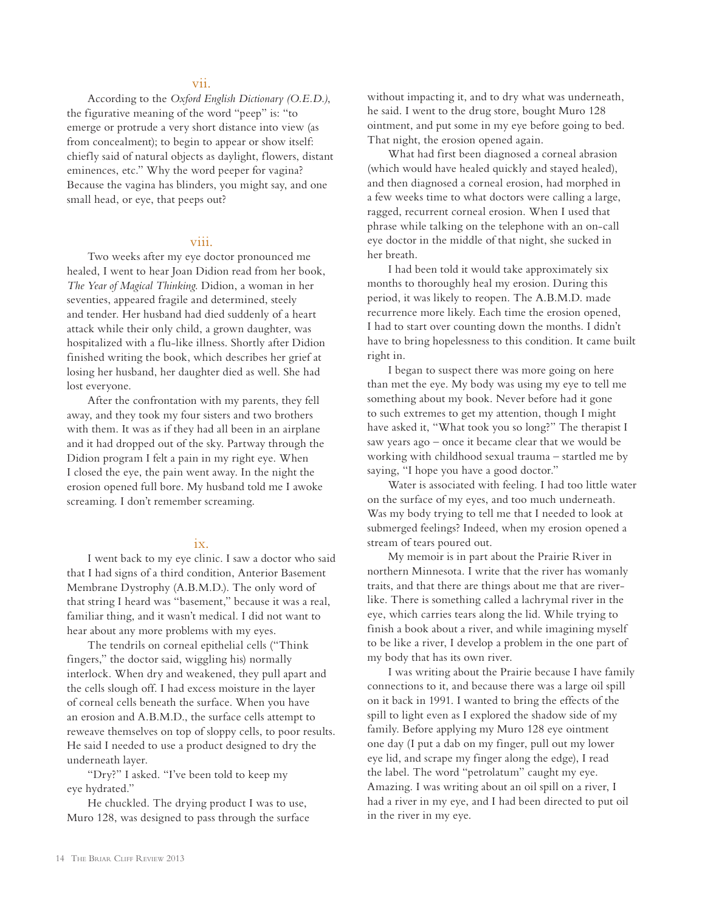## vii.

According to the *Oxford English Dictionary (O.E.D.)*, the figurative meaning of the word "peep" is: "to emerge or protrude a very short distance into view (as from concealment); to begin to appear or show itself: chiefly said of natural objects as daylight, flowers, distant eminences, etc." Why the word peeper for vagina? Because the vagina has blinders, you might say, and one small head, or eye, that peeps out?

#### viii.

Two weeks after my eye doctor pronounced me healed, I went to hear Joan Didion read from her book, *The Year of Magical Thinking*. Didion, a woman in her seventies, appeared fragile and determined, steely and tender. Her husband had died suddenly of a heart attack while their only child, a grown daughter, was hospitalized with a flu-like illness. Shortly after Didion finished writing the book, which describes her grief at losing her husband, her daughter died as well. She had lost everyone.

After the confrontation with my parents, they fell away, and they took my four sisters and two brothers with them. It was as if they had all been in an airplane and it had dropped out of the sky. Partway through the Didion program I felt a pain in my right eye. When I closed the eye, the pain went away. In the night the erosion opened full bore. My husband told me I awoke screaming. I don't remember screaming.

#### ix.

I went back to my eye clinic. I saw a doctor who said that I had signs of a third condition, Anterior Basement Membrane Dystrophy (A.B.M.D.). The only word of that string I heard was "basement," because it was a real, familiar thing, and it wasn't medical. I did not want to hear about any more problems with my eyes.

The tendrils on corneal epithelial cells ("Think fingers," the doctor said, wiggling his) normally interlock. When dry and weakened, they pull apart and the cells slough off. I had excess moisture in the layer of corneal cells beneath the surface. When you have an erosion and A.B.M.D., the surface cells attempt to reweave themselves on top of sloppy cells, to poor results. He said I needed to use a product designed to dry the underneath layer.

"Dry?" I asked. "I've been told to keep my eye hydrated."

He chuckled. The drying product I was to use, Muro 128, was designed to pass through the surface without impacting it, and to dry what was underneath, he said. I went to the drug store, bought Muro 128 ointment, and put some in my eye before going to bed. That night, the erosion opened again.

What had first been diagnosed a corneal abrasion (which would have healed quickly and stayed healed), and then diagnosed a corneal erosion, had morphed in a few weeks time to what doctors were calling a large, ragged, recurrent corneal erosion. When I used that phrase while talking on the telephone with an on-call eye doctor in the middle of that night, she sucked in her breath.

I had been told it would take approximately six months to thoroughly heal my erosion. During this period, it was likely to reopen. The A.B.M.D. made recurrence more likely. Each time the erosion opened, I had to start over counting down the months. I didn't have to bring hopelessness to this condition. It came built right in.

I began to suspect there was more going on here than met the eye. My body was using my eye to tell me something about my book. Never before had it gone to such extremes to get my attention, though I might have asked it, "What took you so long?" The therapist I saw years ago – once it became clear that we would be working with childhood sexual trauma – startled me by saying, "I hope you have a good doctor."

Water is associated with feeling. I had too little water on the surface of my eyes, and too much underneath. Was my body trying to tell me that I needed to look at submerged feelings? Indeed, when my erosion opened a stream of tears poured out.

My memoir is in part about the Prairie River in northern Minnesota. I write that the river has womanly traits, and that there are things about me that are riverlike. There is something called a lachrymal river in the eye, which carries tears along the lid. While trying to finish a book about a river, and while imagining myself to be like a river, I develop a problem in the one part of my body that has its own river.

I was writing about the Prairie because I have family connections to it, and because there was a large oil spill on it back in 1991. I wanted to bring the effects of the spill to light even as I explored the shadow side of my family. Before applying my Muro 128 eye ointment one day (I put a dab on my finger, pull out my lower eye lid, and scrape my finger along the edge), I read the label. The word "petrolatum" caught my eye. Amazing. I was writing about an oil spill on a river, I had a river in my eye, and I had been directed to put oil in the river in my eye.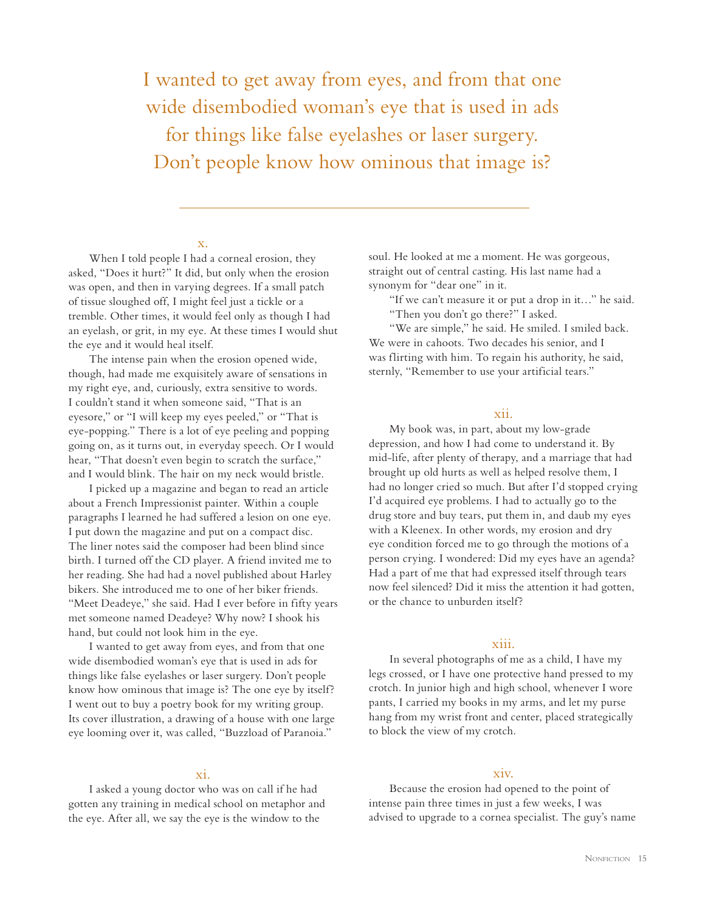I wanted to get away from eyes, and from that one wide disembodied woman's eye that is used in ads for things like false eyelashes or laser surgery. Don't people know how ominous that image is?

#### x.

When I told people I had a corneal erosion, they asked, "Does it hurt?" It did, but only when the erosion was open, and then in varying degrees. If a small patch of tissue sloughed off, I might feel just a tickle or a tremble. Other times, it would feel only as though I had an eyelash, or grit, in my eye. At these times I would shut the eye and it would heal itself.

The intense pain when the erosion opened wide, though, had made me exquisitely aware of sensations in my right eye, and, curiously, extra sensitive to words. I couldn't stand it when someone said, "That is an eyesore," or "I will keep my eyes peeled," or "That is eye-popping." There is a lot of eye peeling and popping going on, as it turns out, in everyday speech. Or I would hear, "That doesn't even begin to scratch the surface," and I would blink. The hair on my neck would bristle.

I picked up a magazine and began to read an article about a French Impressionist painter. Within a couple paragraphs I learned he had suffered a lesion on one eye. I put down the magazine and put on a compact disc. The liner notes said the composer had been blind since birth. I turned off the CD player. A friend invited me to her reading. She had had a novel published about Harley bikers. She introduced me to one of her biker friends. "Meet Deadeye," she said. Had I ever before in fifty years met someone named Deadeye? Why now? I shook his hand, but could not look him in the eye.

I wanted to get away from eyes, and from that one wide disembodied woman's eye that is used in ads for things like false eyelashes or laser surgery. Don't people know how ominous that image is? The one eye by itself? I went out to buy a poetry book for my writing group. Its cover illustration, a drawing of a house with one large eye looming over it, was called, "Buzzload of Paranoia."

#### xi.

I asked a young doctor who was on call if he had gotten any training in medical school on metaphor and the eye. After all, we say the eye is the window to the

soul. He looked at me a moment. He was gorgeous, straight out of central casting. His last name had a synonym for "dear one" in it.

"If we can't measure it or put a drop in it…" he said. "Then you don't go there?" I asked.

"We are simple," he said. He smiled. I smiled back. We were in cahoots. Two decades his senior, and I was flirting with him. To regain his authority, he said, sternly, "Remember to use your artificial tears."

# xii.

My book was, in part, about my low-grade depression, and how I had come to understand it. By mid-life, after plenty of therapy, and a marriage that had brought up old hurts as well as helped resolve them, I had no longer cried so much. But after I'd stopped crying I'd acquired eye problems. I had to actually go to the drug store and buy tears, put them in, and daub my eyes with a Kleenex. In other words, my erosion and dry eye condition forced me to go through the motions of a person crying. I wondered: Did my eyes have an agenda? Had a part of me that had expressed itself through tears now feel silenced? Did it miss the attention it had gotten, or the chance to unburden itself?

# xiii.

In several photographs of me as a child, I have my legs crossed, or I have one protective hand pressed to my crotch. In junior high and high school, whenever I wore pants, I carried my books in my arms, and let my purse hang from my wrist front and center, placed strategically to block the view of my crotch.

## xiv.

Because the erosion had opened to the point of intense pain three times in just a few weeks, I was advised to upgrade to a cornea specialist. The guy's name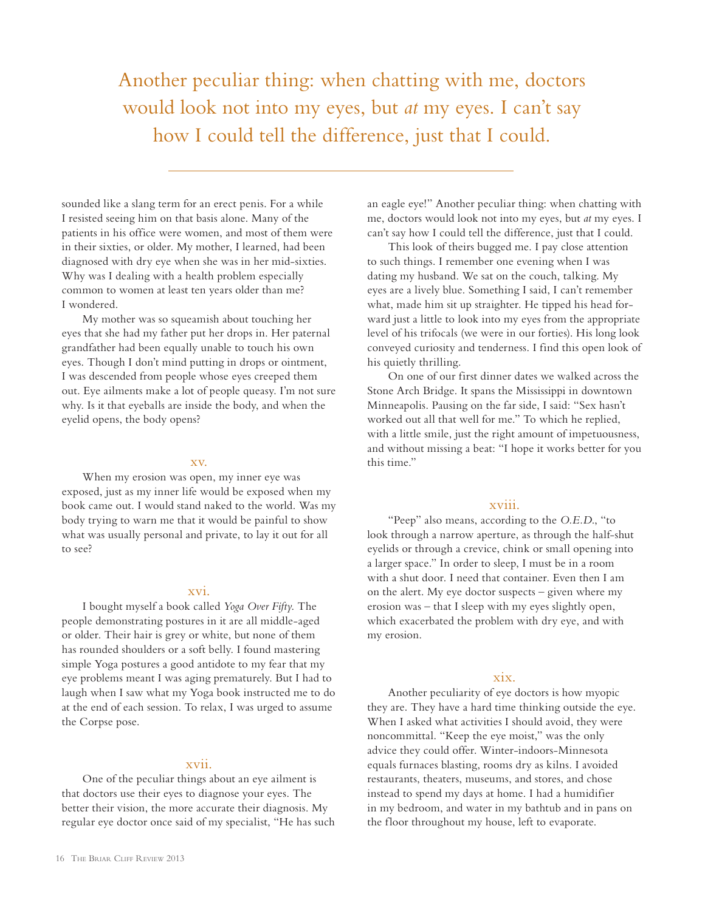Another peculiar thing: when chatting with me, doctors would look not into my eyes, but *at* my eyes. I can't say how I could tell the difference, just that I could.

sounded like a slang term for an erect penis. For a while I resisted seeing him on that basis alone. Many of the patients in his office were women, and most of them were in their sixties, or older. My mother, I learned, had been diagnosed with dry eye when she was in her mid-sixties. Why was I dealing with a health problem especially common to women at least ten years older than me? I wondered.

My mother was so squeamish about touching her eyes that she had my father put her drops in. Her paternal grandfather had been equally unable to touch his own eyes. Though I don't mind putting in drops or ointment, I was descended from people whose eyes creeped them out. Eye ailments make a lot of people queasy. I'm not sure why. Is it that eyeballs are inside the body, and when the eyelid opens, the body opens?

#### xv.

When my erosion was open, my inner eye was exposed, just as my inner life would be exposed when my book came out. I would stand naked to the world. Was my body trying to warn me that it would be painful to show what was usually personal and private, to lay it out for all to see?

#### xvi.

I bought myself a book called *Yoga Over Fifty*. The people demonstrating postures in it are all middle-aged or older. Their hair is grey or white, but none of them has rounded shoulders or a soft belly. I found mastering simple Yoga postures a good antidote to my fear that my eye problems meant I was aging prematurely. But I had to laugh when I saw what my Yoga book instructed me to do at the end of each session. To relax, I was urged to assume the Corpse pose.

## xvii.

One of the peculiar things about an eye ailment is that doctors use their eyes to diagnose your eyes. The better their vision, the more accurate their diagnosis. My regular eye doctor once said of my specialist, "He has such an eagle eye!" Another peculiar thing: when chatting with me, doctors would look not into my eyes, but *at* my eyes. I can't say how I could tell the difference, just that I could.

This look of theirs bugged me. I pay close attention to such things. I remember one evening when I was dating my husband. We sat on the couch, talking. My eyes are a lively blue. Something I said, I can't remember what, made him sit up straighter. He tipped his head forward just a little to look into my eyes from the appropriate level of his trifocals (we were in our forties). His long look conveyed curiosity and tenderness. I find this open look of his quietly thrilling.

On one of our first dinner dates we walked across the Stone Arch Bridge. It spans the Mississippi in downtown Minneapolis. Pausing on the far side, I said: "Sex hasn't worked out all that well for me." To which he replied, with a little smile, just the right amount of impetuousness, and without missing a beat: "I hope it works better for you this time."

## xviii.

"Peep" also means, according to the *O.E.D*., "to look through a narrow aperture, as through the half-shut eyelids or through a crevice, chink or small opening into a larger space." In order to sleep, I must be in a room with a shut door. I need that container. Even then I am on the alert. My eye doctor suspects – given where my erosion was – that I sleep with my eyes slightly open, which exacerbated the problem with dry eye, and with my erosion.

#### xix.

Another peculiarity of eye doctors is how myopic they are. They have a hard time thinking outside the eye. When I asked what activities I should avoid, they were noncommittal. "Keep the eye moist," was the only advice they could offer. Winter-indoors-Minnesota equals furnaces blasting, rooms dry as kilns. I avoided restaurants, theaters, museums, and stores, and chose instead to spend my days at home. I had a humidifier in my bedroom, and water in my bathtub and in pans on the floor throughout my house, left to evaporate.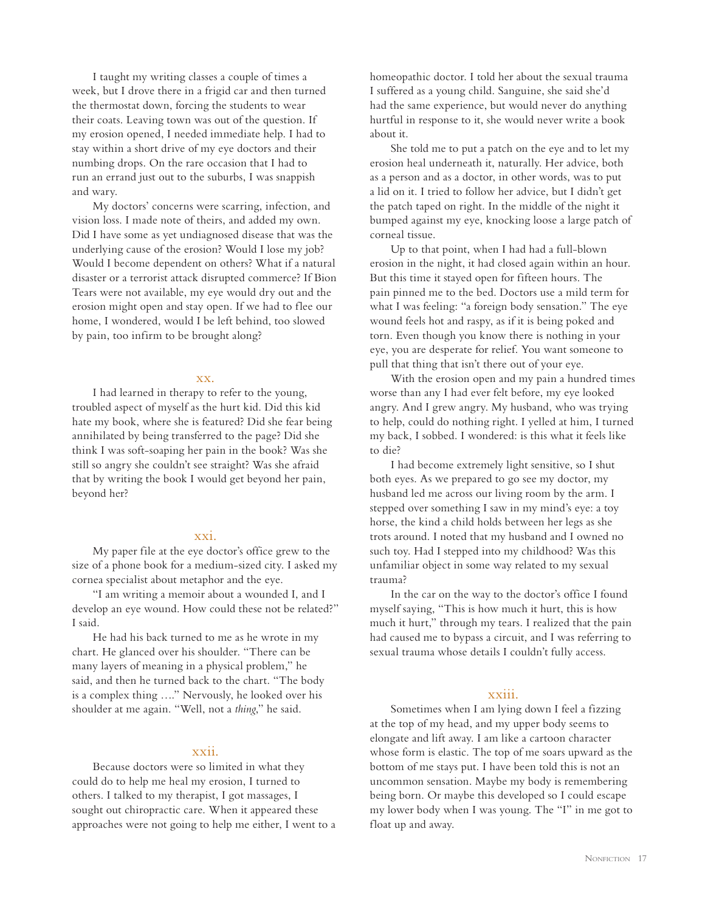I taught my writing classes a couple of times a week, but I drove there in a frigid car and then turned the thermostat down, forcing the students to wear their coats. Leaving town was out of the question. If my erosion opened, I needed immediate help. I had to stay within a short drive of my eye doctors and their numbing drops. On the rare occasion that I had to run an errand just out to the suburbs, I was snappish and wary.

My doctors' concerns were scarring, infection, and vision loss. I made note of theirs, and added my own. Did I have some as yet undiagnosed disease that was the underlying cause of the erosion? Would I lose my job? Would I become dependent on others? What if a natural disaster or a terrorist attack disrupted commerce? If Bion Tears were not available, my eye would dry out and the erosion might open and stay open. If we had to flee our home, I wondered, would I be left behind, too slowed by pain, too infirm to be brought along?

#### xx.

I had learned in therapy to refer to the young, troubled aspect of myself as the hurt kid. Did this kid hate my book, where she is featured? Did she fear being annihilated by being transferred to the page? Did she think I was soft-soaping her pain in the book? Was she still so angry she couldn't see straight? Was she afraid that by writing the book I would get beyond her pain, beyond her?

## xxi.

My paper file at the eye doctor's office grew to the size of a phone book for a medium-sized city. I asked my cornea specialist about metaphor and the eye.

"I am writing a memoir about a wounded I, and I develop an eye wound. How could these not be related?" I said.

He had his back turned to me as he wrote in my chart. He glanced over his shoulder. "There can be many layers of meaning in a physical problem," he said, and then he turned back to the chart. "The body is a complex thing …." Nervously, he looked over his shoulder at me again. "Well, not a *thing*," he said.

#### xxii.

Because doctors were so limited in what they could do to help me heal my erosion, I turned to others. I talked to my therapist, I got massages, I sought out chiropractic care. When it appeared these approaches were not going to help me either, I went to a homeopathic doctor. I told her about the sexual trauma I suffered as a young child. Sanguine, she said she'd had the same experience, but would never do anything hurtful in response to it, she would never write a book about it.

She told me to put a patch on the eye and to let my erosion heal underneath it, naturally. Her advice, both as a person and as a doctor, in other words, was to put a lid on it. I tried to follow her advice, but I didn't get the patch taped on right. In the middle of the night it bumped against my eye, knocking loose a large patch of corneal tissue.

Up to that point, when I had had a full-blown erosion in the night, it had closed again within an hour. But this time it stayed open for fifteen hours. The pain pinned me to the bed. Doctors use a mild term for what I was feeling: "a foreign body sensation." The eye wound feels hot and raspy, as if it is being poked and torn. Even though you know there is nothing in your eye, you are desperate for relief. You want someone to pull that thing that isn't there out of your eye.

With the erosion open and my pain a hundred times worse than any I had ever felt before, my eye looked angry. And I grew angry. My husband, who was trying to help, could do nothing right. I yelled at him, I turned my back, I sobbed. I wondered: is this what it feels like to die?

I had become extremely light sensitive, so I shut both eyes. As we prepared to go see my doctor, my husband led me across our living room by the arm. I stepped over something I saw in my mind's eye: a toy horse, the kind a child holds between her legs as she trots around. I noted that my husband and I owned no such toy. Had I stepped into my childhood? Was this unfamiliar object in some way related to my sexual trauma?

In the car on the way to the doctor's office I found myself saying, "This is how much it hurt, this is how much it hurt," through my tears. I realized that the pain had caused me to bypass a circuit, and I was referring to sexual trauma whose details I couldn't fully access.

#### xxiii.

Sometimes when I am lying down I feel a fizzing at the top of my head, and my upper body seems to elongate and lift away. I am like a cartoon character whose form is elastic. The top of me soars upward as the bottom of me stays put. I have been told this is not an uncommon sensation. Maybe my body is remembering being born. Or maybe this developed so I could escape my lower body when I was young. The "I" in me got to float up and away.